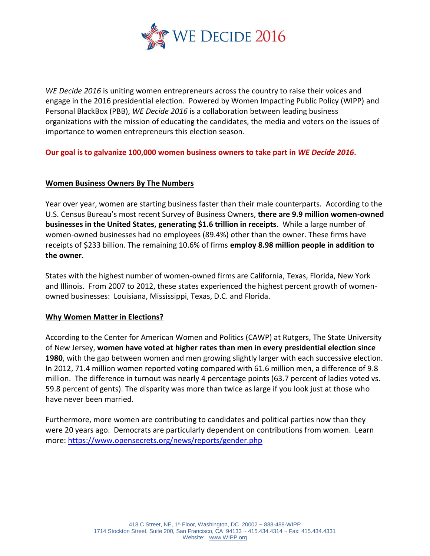

*WE Decide 2016* is uniting women entrepreneurs across the country to raise their voices and engage in the 2016 presidential election. Powered by Women Impacting Public Policy (WIPP) and Personal BlackBox (PBB), *WE Decide 2016* is a collaboration between leading business organizations with the mission of educating the candidates, the media and voters on the issues of importance to women entrepreneurs this election season.

**Our goal is to galvanize 100,000 women business owners to take part in** *WE Decide 2016***.**

### **Women Business Owners By The Numbers**

Year over year, women are starting business faster than their male counterparts. According to the U.S. Census Bureau's most recent Survey of Business Owners, **there are 9.9 million women-owned businesses in the United States, generating \$1.6 trillion in receipts**. While a large number of women-owned businesses had no employees (89.4%) other than the owner. These firms have receipts of \$233 billion. The remaining 10.6% of firms **employ 8.98 million people in addition to the owner**.

States with the highest number of women-owned firms are California, Texas, Florida, New York and Illinois. From 2007 to 2012, these states experienced the highest percent growth of womenowned businesses: Louisiana, Mississippi, Texas, D.C. and Florida.

### **Why Women Matter in Elections?**

According to the Center for American Women and Politics (CAWP) at Rutgers, The State University of New Jersey, **women have voted at higher rates than men in every presidential election since 1980**, with the gap between women and men growing slightly larger with each successive election. In 2012, 71.4 million women reported voting compared with 61.6 million men, a difference of 9.8 million. The difference in turnout was nearly 4 percentage points (63.7 percent of ladies voted vs. 59.8 percent of gents). The disparity was more than twice as large if you look just at those who have never been married.

Furthermore, more women are contributing to candidates and political parties now than they were 20 years ago. Democrats are particularly dependent on contributions from women. Learn more:<https://www.opensecrets.org/news/reports/gender.php>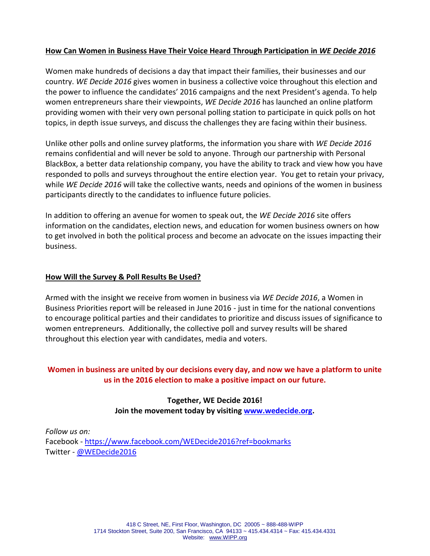## **How Can Women in Business Have Their Voice Heard Through Participation in** *WE Decide 2016*

Women make hundreds of decisions a day that impact their families, their businesses and our country. *WE Decide 2016* gives women in business a collective voice throughout this election and the power to influence the candidates' 2016 campaigns and the next President's agenda. To help women entrepreneurs share their viewpoints, *WE Decide 2016* has launched an online platform providing women with their very own personal polling station to participate in quick polls on hot topics, in depth issue surveys, and discuss the challenges they are facing within their business.

Unlike other polls and online survey platforms, the information you share with *WE Decide 2016* remains confidential and will never be sold to anyone. Through our partnership with Personal BlackBox, a better data relationship company, you have the ability to track and view how you have responded to polls and surveys throughout the entire election year. You get to retain your privacy, while *WE Decide 2016* will take the collective wants, needs and opinions of the women in business participants directly to the candidates to influence future policies.

In addition to offering an avenue for women to speak out, the *WE Decide 2016* site offers information on the candidates, election news, and education for women business owners on how to get involved in both the political process and become an advocate on the issues impacting their business.

## **How Will the Survey & Poll Results Be Used?**

Armed with the insight we receive from women in business via *WE Decide 2016*, a Women in Business Priorities report will be released in June 2016 - just in time for the national conventions to encourage political parties and their candidates to prioritize and discuss issues of significance to women entrepreneurs. Additionally, the collective poll and survey results will be shared throughout this election year with candidates, media and voters.

# **Women in business are united by our decisions every day, and now we have a platform to unite us in the 2016 election to make a positive impact on our future.**

# **Together, WE Decide 2016! Join the movement today by visiting [www.wedecide.org.](http://www.wedecide.org/)**

*Follow us on:* Facebook - <https://www.facebook.com/WEDecide2016?ref=bookmarks> Twitter - [@WED](https://twitter.com/WEDecide2016)ecide2016